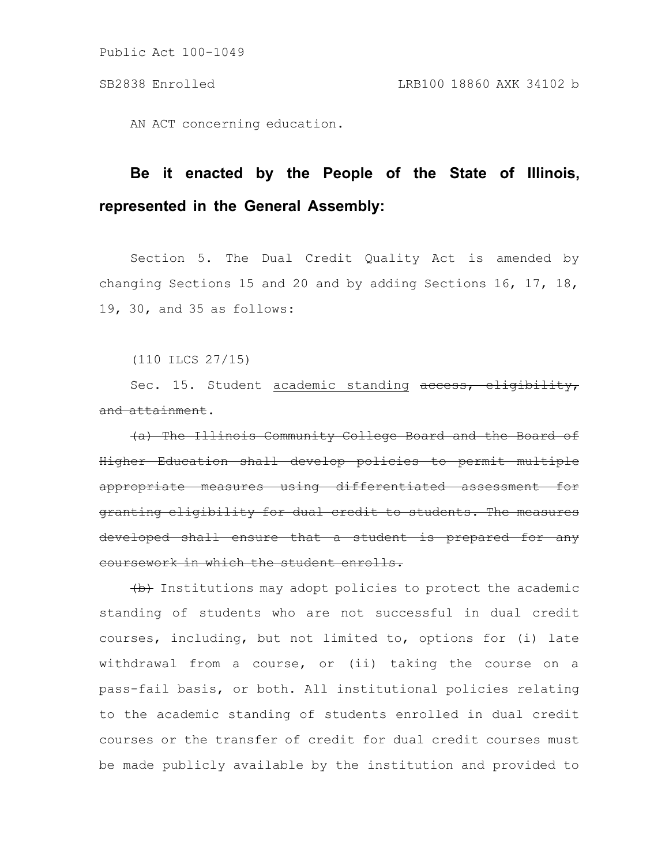AN ACT concerning education.

## **Be it enacted by the People of the State of Illinois, represented in the General Assembly:**

Section 5. The Dual Credit Quality Act is amended by changing Sections 15 and 20 and by adding Sections 16, 17, 18, 19, 30, and 35 as follows:

(110 ILCS 27/15)

Sec. 15. Student academic standing access, eligibility, and attainment.

(a) The Illinois Community College Board and the Board of Higher Education shall develop policies to permit multiple appropriate measures using differentiated assessment for granting eligibility for dual credit to students. The measures developed shall ensure that a student is prepared for any coursework in which the student enrolls.

(b) Institutions may adopt policies to protect the academic standing of students who are not successful in dual credit courses, including, but not limited to, options for (i) late withdrawal from a course, or (ii) taking the course on a pass-fail basis, or both. All institutional policies relating to the academic standing of students enrolled in dual credit courses or the transfer of credit for dual credit courses must be made publicly available by the institution and provided to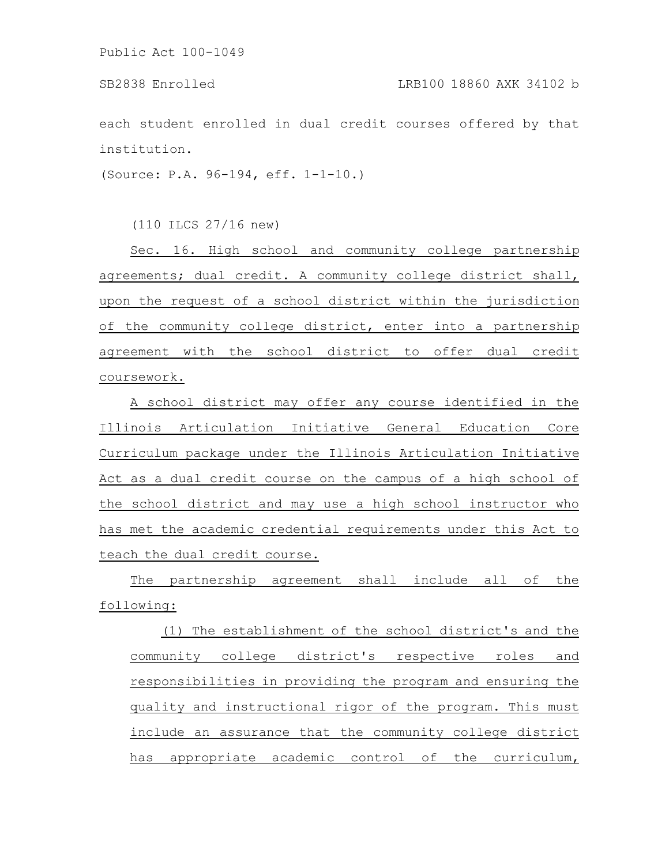each student enrolled in dual credit courses offered by that institution.

(Source: P.A. 96-194, eff. 1-1-10.)

(110 ILCS 27/16 new)

Sec. 16. High school and community college partnership agreements; dual credit. A community college district shall, upon the request of a school district within the jurisdiction of the community college district, enter into a partnership agreement with the school district to offer dual credit coursework.

A school district may offer any course identified in the Illinois Articulation Initiative General Education Core Curriculum package under the Illinois Articulation Initiative Act as a dual credit course on the campus of a high school of the school district and may use a high school instructor who has met the academic credential requirements under this Act to teach the dual credit course.

The partnership agreement shall include all of the following:

(1) The establishment of the school district's and the community college district's respective roles and responsibilities in providing the program and ensuring the quality and instructional rigor of the program. This must include an assurance that the community college district has appropriate academic control of the curriculum,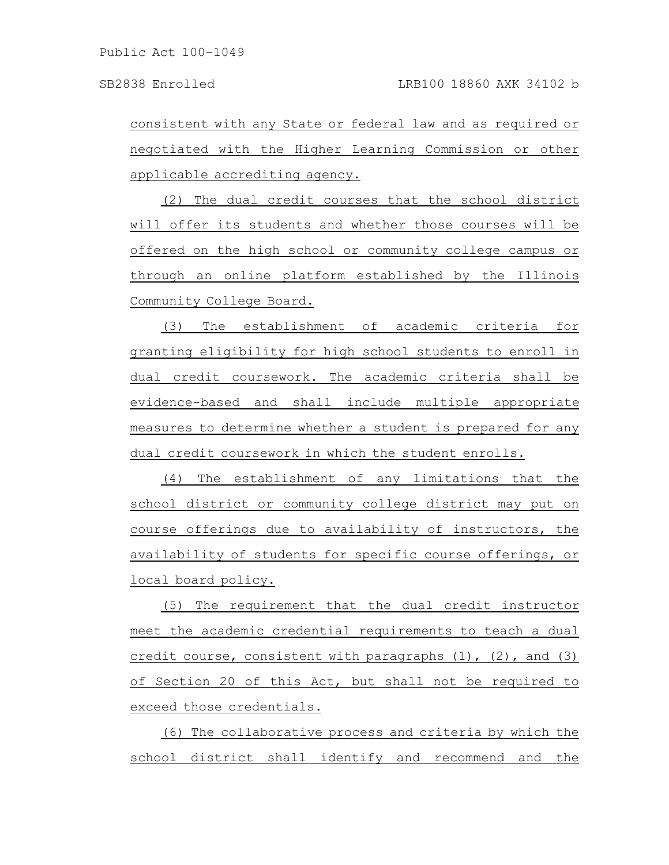consistent with any State or federal law and as required or negotiated with the Higher Learning Commission or other applicable accrediting agency.

(2) The dual credit courses that the school district will offer its students and whether those courses will be offered on the high school or community college campus or through an online platform established by the Illinois Community College Board.

(3) The establishment of academic criteria for granting eligibility for high school students to enroll in dual credit coursework. The academic criteria shall be evidence-based and shall include multiple appropriate measures to determine whether a student is prepared for any dual credit coursework in which the student enrolls.

(4) The establishment of any limitations that the school district or community college district may put on course offerings due to availability of instructors, the availability of students for specific course offerings, or local board policy.

(5) The requirement that the dual credit instructor meet the academic credential requirements to teach a dual credit course, consistent with paragraphs (1), (2), and (3) of Section 20 of this Act, but shall not be required to exceed those credentials.

(6) The collaborative process and criteria by which the school district shall identify and recommend and the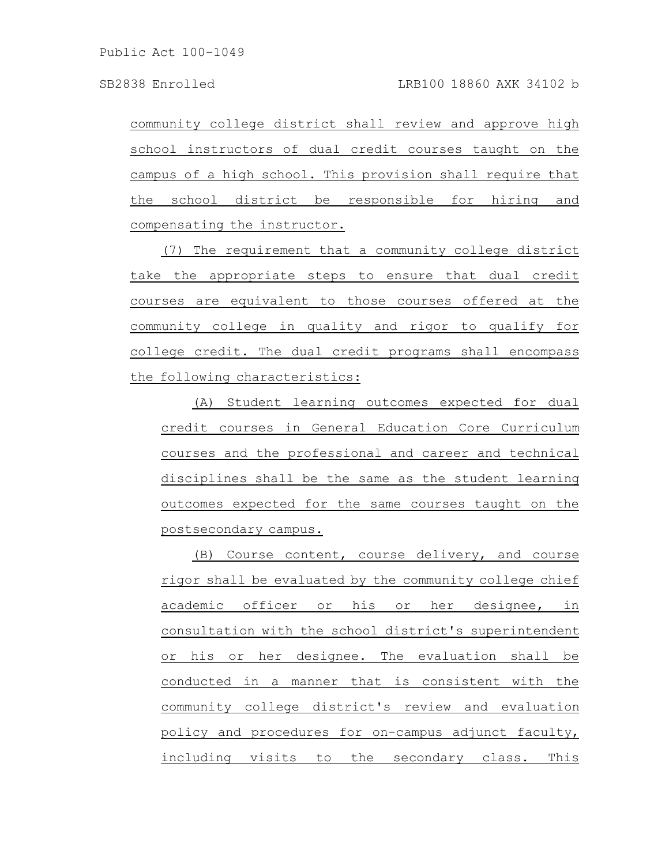community college district shall review and approve high school instructors of dual credit courses taught on the campus of a high school. This provision shall require that the school district be responsible for hiring and compensating the instructor.

(7) The requirement that a community college district take the appropriate steps to ensure that dual credit courses are equivalent to those courses offered at the community college in quality and rigor to qualify for college credit. The dual credit programs shall encompass the following characteristics:

(A) Student learning outcomes expected for dual credit courses in General Education Core Curriculum courses and the professional and career and technical disciplines shall be the same as the student learning outcomes expected for the same courses taught on the postsecondary campus.

(B) Course content, course delivery, and course rigor shall be evaluated by the community college chief academic officer or his or her designee, in consultation with the school district's superintendent or his or her designee. The evaluation shall be conducted in a manner that is consistent with the community college district's review and evaluation policy and procedures for on-campus adjunct faculty, including visits to the secondary class. This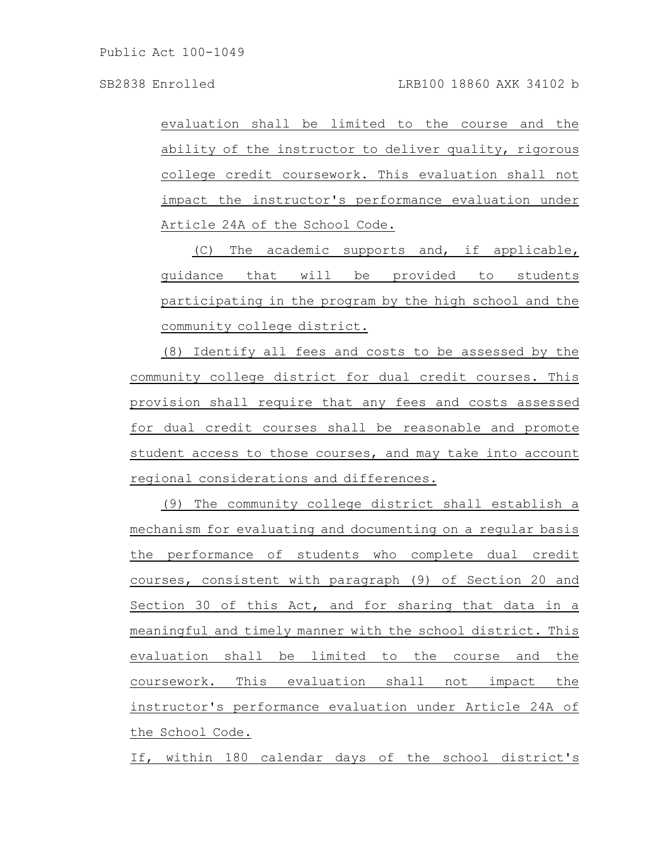evaluation shall be limited to the course and the ability of the instructor to deliver quality, rigorous college credit coursework. This evaluation shall not impact the instructor's performance evaluation under Article 24A of the School Code.

(C) The academic supports and, if applicable, guidance that will be provided to students participating in the program by the high school and the community college district.

(8) Identify all fees and costs to be assessed by the community college district for dual credit courses. This provision shall require that any fees and costs assessed for dual credit courses shall be reasonable and promote student access to those courses, and may take into account regional considerations and differences.

(9) The community college district shall establish a mechanism for evaluating and documenting on a regular basis the performance of students who complete dual credit courses, consistent with paragraph (9) of Section 20 and Section 30 of this Act, and for sharing that data in a meaningful and timely manner with the school district. This evaluation shall be limited to the course and the coursework. This evaluation shall not impact the instructor's performance evaluation under Article 24A of the School Code.

If, within 180 calendar days of the school district's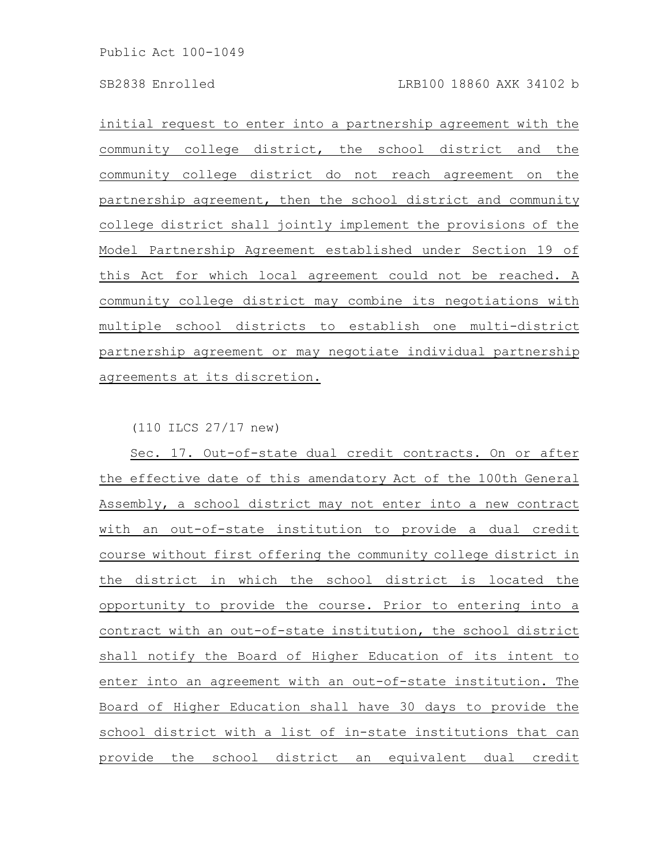initial request to enter into a partnership agreement with the community college district, the school district and the community college district do not reach agreement on the partnership agreement, then the school district and community college district shall jointly implement the provisions of the Model Partnership Agreement established under Section 19 of this Act for which local agreement could not be reached. A community college district may combine its negotiations with multiple school districts to establish one multi-district partnership agreement or may negotiate individual partnership agreements at its discretion.

(110 ILCS 27/17 new)

Sec. 17. Out-of-state dual credit contracts. On or after the effective date of this amendatory Act of the 100th General Assembly, a school district may not enter into a new contract with an out-of-state institution to provide a dual credit course without first offering the community college district in the district in which the school district is located the opportunity to provide the course. Prior to entering into a contract with an out-of-state institution, the school district shall notify the Board of Higher Education of its intent to enter into an agreement with an out-of-state institution. The Board of Higher Education shall have 30 days to provide the school district with a list of in-state institutions that can provide the school district an equivalent dual credit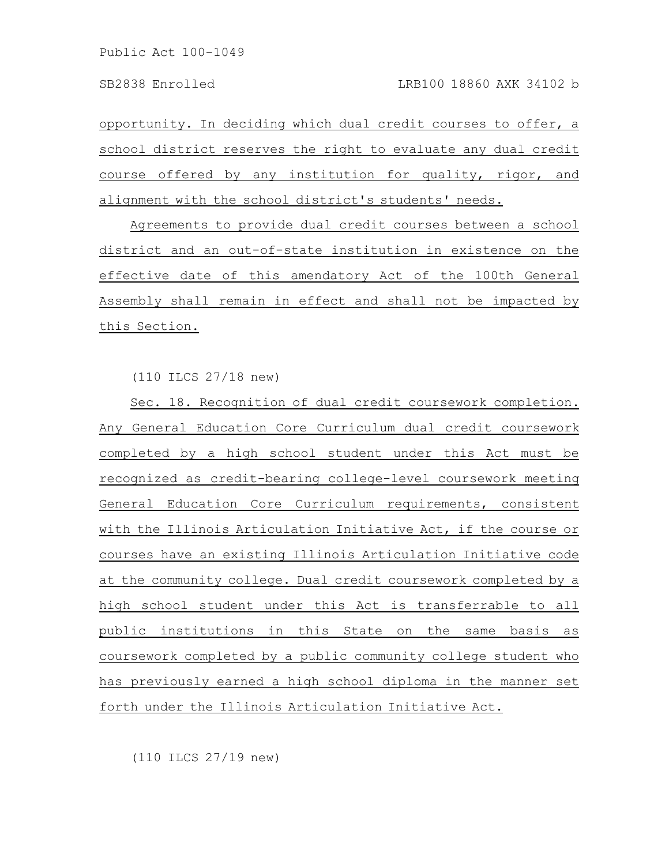opportunity. In deciding which dual credit courses to offer, a school district reserves the right to evaluate any dual credit course offered by any institution for quality, rigor, and alignment with the school district's students' needs.

Agreements to provide dual credit courses between a school district and an out-of-state institution in existence on the effective date of this amendatory Act of the 100th General Assembly shall remain in effect and shall not be impacted by this Section.

(110 ILCS 27/18 new)

Sec. 18. Recognition of dual credit coursework completion. Any General Education Core Curriculum dual credit coursework completed by a high school student under this Act must be recognized as credit-bearing college-level coursework meeting General Education Core Curriculum requirements, consistent with the Illinois Articulation Initiative Act, if the course or courses have an existing Illinois Articulation Initiative code at the community college. Dual credit coursework completed by a high school student under this Act is transferrable to all public institutions in this State on the same basis as coursework completed by a public community college student who has previously earned a high school diploma in the manner set forth under the Illinois Articulation Initiative Act.

(110 ILCS 27/19 new)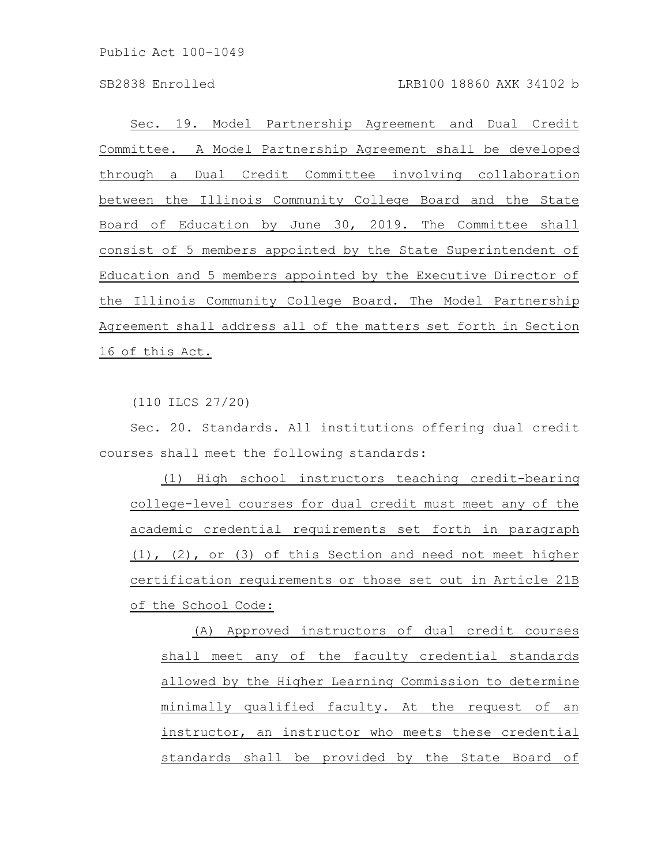Sec. 19. Model Partnership Agreement and Dual Credit Committee. A Model Partnership Agreement shall be developed through a Dual Credit Committee involving collaboration between the Illinois Community College Board and the State Board of Education by June 30, 2019. The Committee shall consist of 5 members appointed by the State Superintendent of Education and 5 members appointed by the Executive Director of the Illinois Community College Board. The Model Partnership Agreement shall address all of the matters set forth in Section 16 of this Act.

(110 ILCS 27/20)

Sec. 20. Standards. All institutions offering dual credit courses shall meet the following standards:

(1) High school instructors teaching credit-bearing college-level courses for dual credit must meet any of the academic credential requirements set forth in paragraph (1), (2), or (3) of this Section and need not meet higher certification requirements or those set out in Article 21B of the School Code:

(A) Approved instructors of dual credit courses shall meet any of the faculty credential standards allowed by the Higher Learning Commission to determine minimally qualified faculty. At the request of an instructor, an instructor who meets these credential standards shall be provided by the State Board of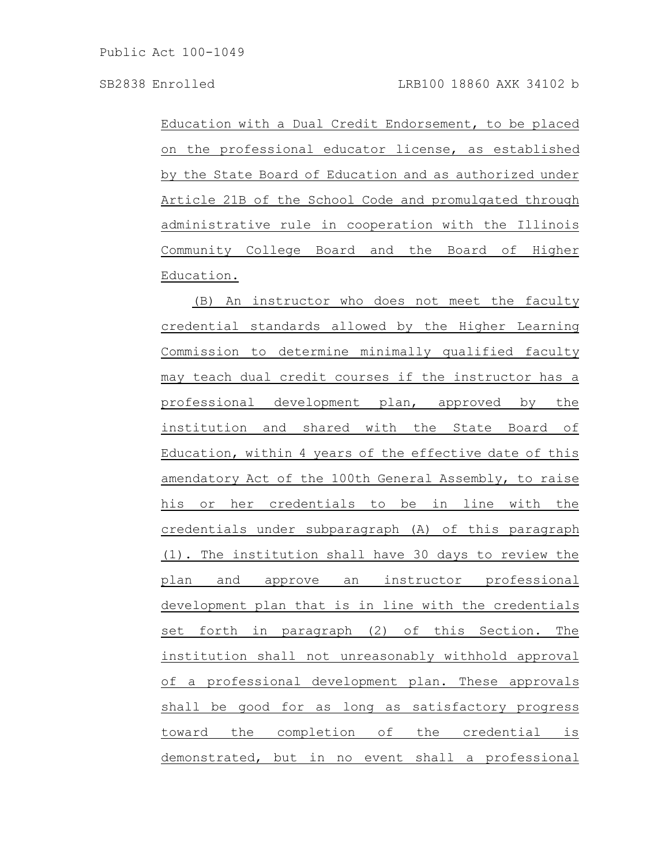Education with a Dual Credit Endorsement, to be placed on the professional educator license, as established by the State Board of Education and as authorized under Article 21B of the School Code and promulgated through administrative rule in cooperation with the Illinois Community College Board and the Board of Higher Education.

(B) An instructor who does not meet the faculty credential standards allowed by the Higher Learning Commission to determine minimally qualified faculty may teach dual credit courses if the instructor has a professional development plan, approved by the institution and shared with the State Board of Education, within 4 years of the effective date of this amendatory Act of the 100th General Assembly, to raise his or her credentials to be in line with the credentials under subparagraph (A) of this paragraph (1). The institution shall have 30 days to review the plan and approve an instructor professional development plan that is in line with the credentials set forth in paragraph (2) of this Section. The institution shall not unreasonably withhold approval of a professional development plan. These approvals shall be good for as long as satisfactory progress toward the completion of the credential is demonstrated, but in no event shall a professional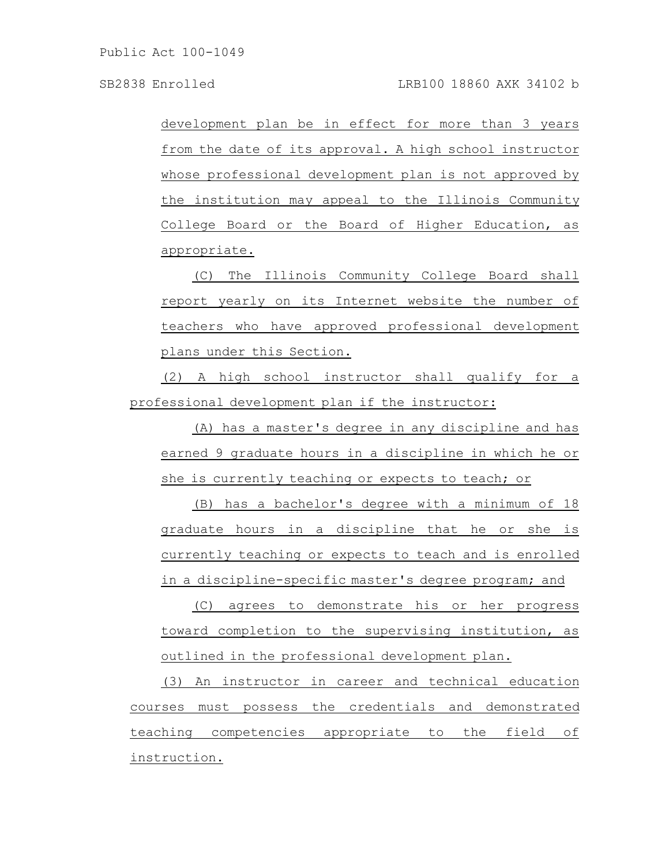development plan be in effect for more than 3 years from the date of its approval. A high school instructor whose professional development plan is not approved by the institution may appeal to the Illinois Community College Board or the Board of Higher Education, as appropriate.

(C) The Illinois Community College Board shall report yearly on its Internet website the number of teachers who have approved professional development plans under this Section.

(2) A high school instructor shall qualify for a professional development plan if the instructor:

(A) has a master's degree in any discipline and has earned 9 graduate hours in a discipline in which he or she is currently teaching or expects to teach; or

(B) has a bachelor's degree with a minimum of 18 graduate hours in a discipline that he or she is currently teaching or expects to teach and is enrolled in a discipline-specific master's degree program; and

(C) agrees to demonstrate his or her progress toward completion to the supervising institution, as outlined in the professional development plan.

(3) An instructor in career and technical education courses must possess the credentials and demonstrated teaching competencies appropriate to the field of instruction.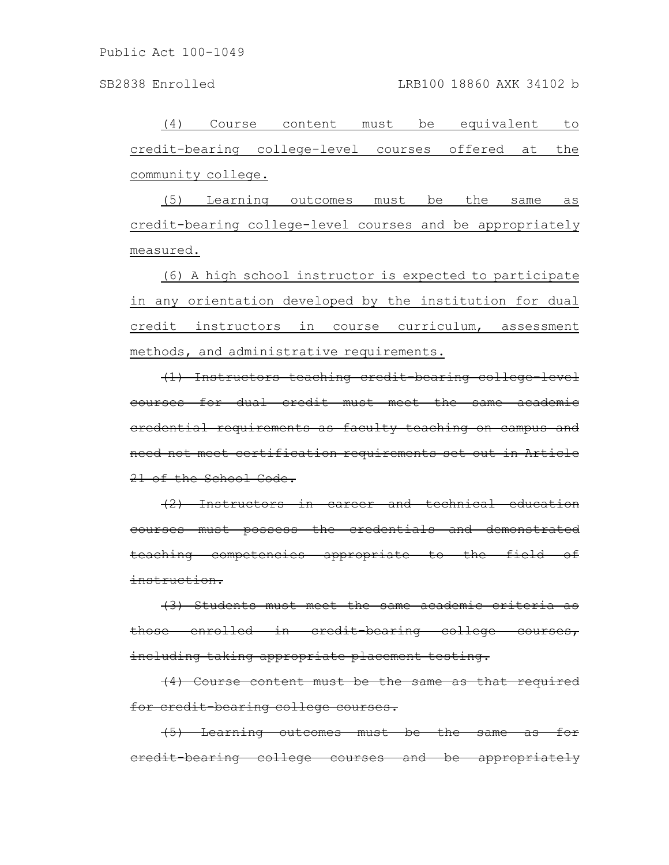(4) Course content must be equivalent to credit-bearing college-level courses offered at the community college.

(5) Learning outcomes must be the same as credit-bearing college-level courses and be appropriately measured.

(6) A high school instructor is expected to participate in any orientation developed by the institution for dual credit instructors in course curriculum, assessment methods, and administrative requirements.

(1) Instructors teaching credit-bearing college-level courses for dual credit must meet the same academic credential requirements as faculty teaching on campus and need not meet certification requirements set out in Article 21 of the School Code.

(2) Instructors in career and technical education courses must possess the credentials and demonstrated teaching competencies appropriate to the field of instruction.

(3) Students must meet the same academic criteria as those enrolled in credit-bearing college courses, including taking appropriate placement testing.

(4) Course content must be the same as that required for credit-bearing college courses.

(5) Learning outcomes must be the same as for credit-bearing college courses and be appropriately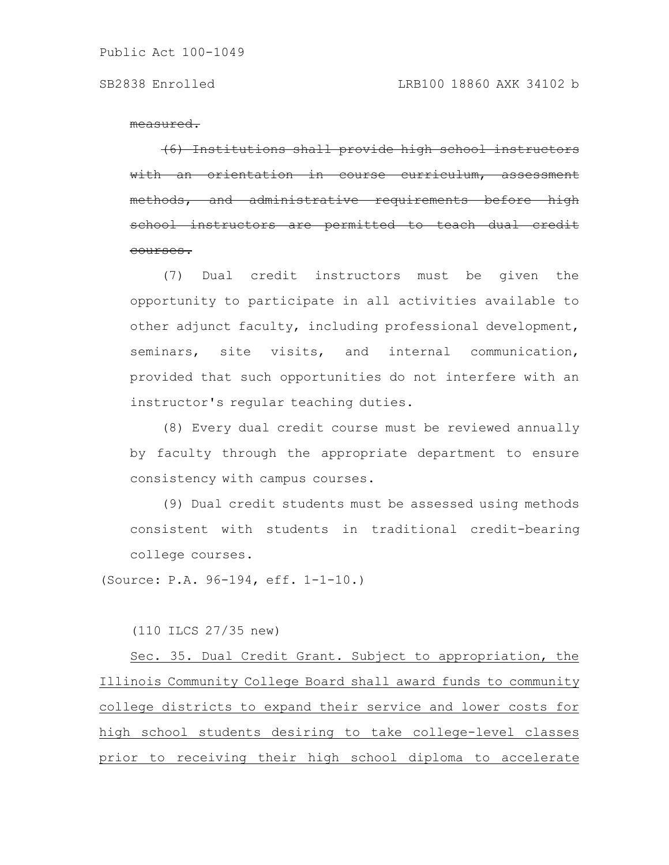measured.

(6) Institutions shall provide high school instructors an orientation in course curriculum, ethods, and administrative requirements school instructors are permitted to teach dual courses.

(7) Dual credit instructors must be given the opportunity to participate in all activities available to other adjunct faculty, including professional development, seminars, site visits, and internal communication, provided that such opportunities do not interfere with an instructor's regular teaching duties.

(8) Every dual credit course must be reviewed annually by faculty through the appropriate department to ensure consistency with campus courses.

(9) Dual credit students must be assessed using methods consistent with students in traditional credit-bearing college courses.

(Source: P.A. 96-194, eff. 1-1-10.)

(110 ILCS 27/35 new)

Sec. 35. Dual Credit Grant. Subject to appropriation, the Illinois Community College Board shall award funds to community college districts to expand their service and lower costs for high school students desiring to take college-level classes prior to receiving their high school diploma to accelerate